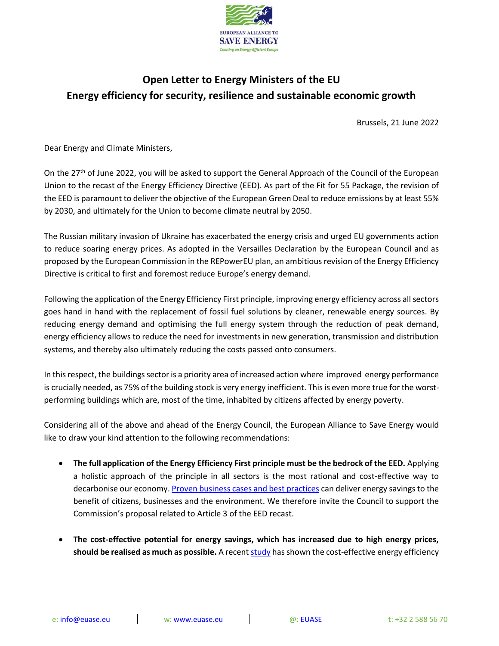

## **Open Letter to Energy Ministers of the EU Energy efficiency for security, resilience and sustainable economic growth**

Brussels, 21 June 2022

Dear Energy and Climate Ministers,

On the 27<sup>th</sup> of June 2022, you will be asked to support the General Approach of the Council of the European Union to the recast of the Energy Efficiency Directive (EED). As part of the Fit for 55 Package, the revision of the EED is paramount to deliver the objective of the European Green Deal to reduce emissions by at least 55% by 2030, and ultimately for the Union to become climate neutral by 2050.

The Russian military invasion of Ukraine has exacerbated the energy crisis and urged EU governments action to reduce soaring energy prices. As adopted in the Versailles Declaration by the European Council and as proposed by the European Commission in the REPowerEU plan, an ambitious revision of the Energy Efficiency Directive is critical to first and foremost reduce Europe's energy demand.

Following the application of the Energy Efficiency First principle, improving energy efficiency across allsectors goes hand in hand with the replacement of fossil fuel solutions by cleaner, renewable energy sources. By reducing energy demand and optimising the full energy system through the reduction of peak demand, energy efficiency allows to reduce the need for investments in new generation, transmission and distribution systems, and thereby also ultimately reducing the costs passed onto consumers.

In this respect, the buildings sector is a priority area of increased action where improved energy performance is crucially needed, as 75% of the building stock is very energy inefficient. This is even more true for the worstperforming buildings which are, most of the time, inhabited by citizens affected by energy poverty.

Considering all of the above and ahead of the Energy Council, the European Alliance to Save Energy would like to draw your kind attention to the following recommendations:

- **The full application of the Energy Efficiency First principle must be the bedrock of the EED.** Applying a holistic approach of the principle in all sectors is the most rational and cost-effective way to decarbonise our economy. [Proven business cases](https://euase.net/short-to-mid-term-measures-in-energy-efficiency-to-reduce-gas-consumption-in-europe/) and best practices can deliver energy savings to the benefit of citizens, businesses and the environment. We therefore invite the Council to support the Commission's proposal related to Article 3 of the EED recast.
- **The cost-effective potential for energy savings, which has increased due to high energy prices, should be realised as much as possible.** A recen[t study](http://www.stefanscheuer.eu/wp-content/uploads/2022/04/20220419-FraunhoferISI_Scheuer_Briefing-higher-prices-higher-energy-savings_final.pdf) has shown the cost-effective energy efficiency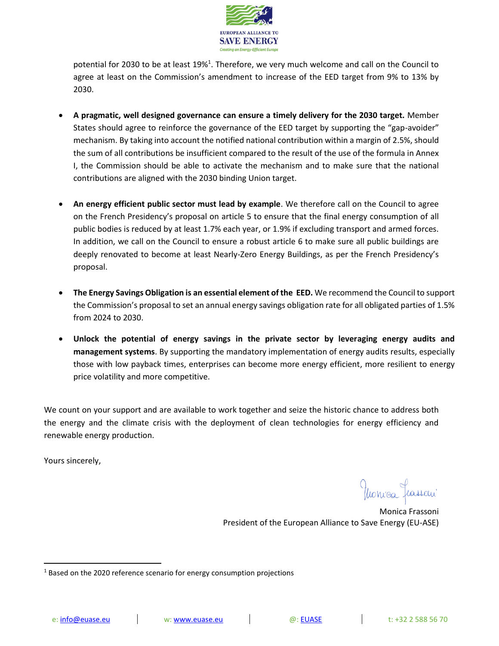

potential for 2030 to be at least 19%<sup>1</sup>. Therefore, we very much welcome and call on the Council to agree at least on the Commission's amendment to increase of the EED target from 9% to 13% by 2030.

- **A pragmatic, well designed governance can ensure a timely delivery for the 2030 target.** Member States should agree to reinforce the governance of the EED target by supporting the "gap-avoider" mechanism. By taking into account the notified national contribution within a margin of 2.5%, should the sum of all contributions be insufficient compared to the result of the use of the formula in Annex I, the Commission should be able to activate the mechanism and to make sure that the national contributions are aligned with the 2030 binding Union target.
- **An energy efficient public sector must lead by example**. We therefore call on the Council to agree on the French Presidency's proposal on article 5 to ensure that the final energy consumption of all public bodies is reduced by at least 1.7% each year, or 1.9% if excluding transport and armed forces. In addition, we call on the Council to ensure a robust article 6 to make sure all public buildings are deeply renovated to become at least Nearly-Zero Energy Buildings, as per the French Presidency's proposal.
- **The Energy Savings Obligation is an essential element of the EED.** We recommend the Council to support the Commission's proposal to set an annual energy savings obligation rate for all obligated parties of 1.5% from 2024 to 2030.
- **Unlock the potential of energy savings in the private sector by leveraging energy audits and management systems**. By supporting the mandatory implementation of energy audits results, especially those with low payback times, enterprises can become more energy efficient, more resilient to energy price volatility and more competitive.

We count on your support and are available to work together and seize the historic chance to address both the energy and the climate crisis with the deployment of clean technologies for energy efficiency and renewable energy production.

Yours sincerely,

Monica Frassoni President of the European Alliance to Save Energy (EU-ASE)

 $1$  Based on the 2020 reference scenario for energy consumption projections